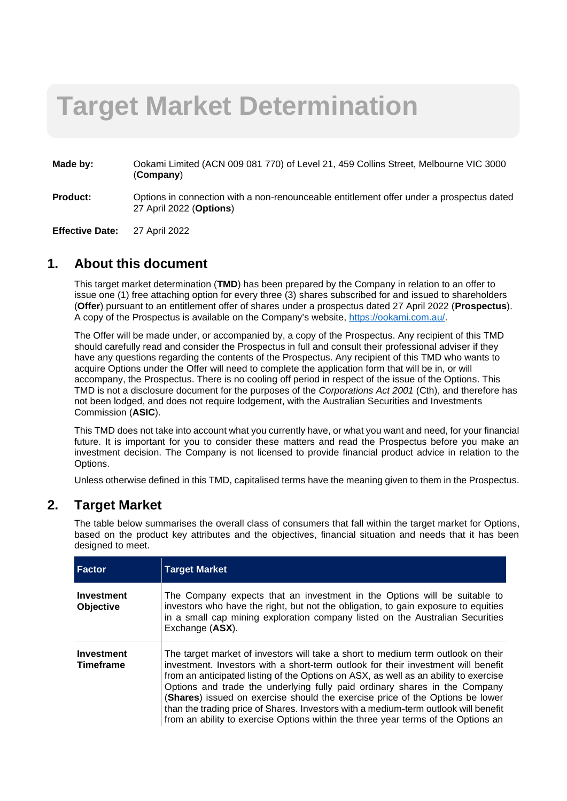# **Target Market Determination**

- **Made by:** Ookami Limited (ACN 009 081 770) of Level 21, 459 Collins Street, Melbourne VIC 3000 (**Company**) Made by:
- **Product:** Options in connection with a non-renounceable entitlement offer under a prospectus dated 27 April 2022 (**Options**)

**Effective Date:** 27 April 2022

#### **1. About this document**

This target market determination (**TMD**) has been prepared by the Company in relation to an offer to issue one (1) free attaching option for every three (3) shares subscribed for and issued to shareholders (**Offer**) pursuant to an entitlement offer of shares under a prospectus dated 27 April 2022 (**Prospectus**). A copy of the Prospectus is available on the Company's website, [https://ookami.com.au/.](https://ookami.com.au/)

The Offer will be made under, or accompanied by, a copy of the Prospectus. Any recipient of this TMD should carefully read and consider the Prospectus in full and consult their professional adviser if they have any questions regarding the contents of the Prospectus. Any recipient of this TMD who wants to acquire Options under the Offer will need to complete the application form that will be in, or will accompany, the Prospectus. There is no cooling off period in respect of the issue of the Options. This TMD is not a disclosure document for the purposes of the *Corporations Act 2001* (Cth), and therefore has not been lodged, and does not require lodgement, with the Australian Securities and Investments Commission (**ASIC**).

This TMD does not take into account what you currently have, or what you want and need, for your financial future. It is important for you to consider these matters and read the Prospectus before you make an investment decision. The Company is not licensed to provide financial product advice in relation to the Options.

Unless otherwise defined in this TMD, capitalised terms have the meaning given to them in the Prospectus.

## **2. Target Market**

The table below summarises the overall class of consumers that fall within the target market for Options, based on the product key attributes and the objectives, financial situation and needs that it has been designed to meet.

| <b>Factor</b>                         | <b>Target Market</b>                                                                                                                                                                                                                                                                                                                                                                                                                                                                                                                                                                                     |
|---------------------------------------|----------------------------------------------------------------------------------------------------------------------------------------------------------------------------------------------------------------------------------------------------------------------------------------------------------------------------------------------------------------------------------------------------------------------------------------------------------------------------------------------------------------------------------------------------------------------------------------------------------|
| Investment<br><b>Objective</b>        | The Company expects that an investment in the Options will be suitable to<br>investors who have the right, but not the obligation, to gain exposure to equities<br>in a small cap mining exploration company listed on the Australian Securities<br>Exchange (ASX).                                                                                                                                                                                                                                                                                                                                      |
| <b>Investment</b><br><b>Timeframe</b> | The target market of investors will take a short to medium term outlook on their<br>investment. Investors with a short-term outlook for their investment will benefit<br>from an anticipated listing of the Options on ASX, as well as an ability to exercise<br>Options and trade the underlying fully paid ordinary shares in the Company<br>(Shares) issued on exercise should the exercise price of the Options be lower<br>than the trading price of Shares. Investors with a medium-term outlook will benefit<br>from an ability to exercise Options within the three year terms of the Options an |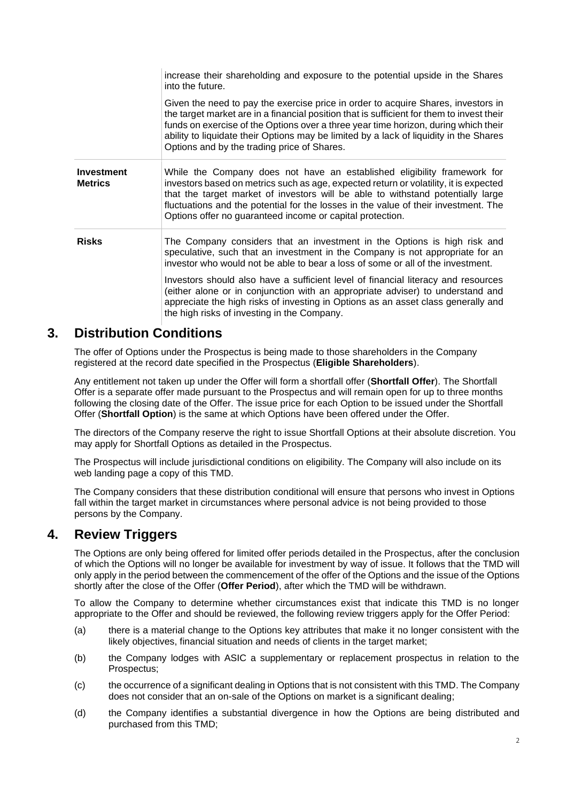|                                     | increase their shareholding and exposure to the potential upside in the Shares<br>into the future.                                                                                                                                                                                                                                                                                                             |
|-------------------------------------|----------------------------------------------------------------------------------------------------------------------------------------------------------------------------------------------------------------------------------------------------------------------------------------------------------------------------------------------------------------------------------------------------------------|
|                                     | Given the need to pay the exercise price in order to acquire Shares, investors in<br>the target market are in a financial position that is sufficient for them to invest their<br>funds on exercise of the Options over a three year time horizon, during which their<br>ability to liquidate their Options may be limited by a lack of liquidity in the Shares<br>Options and by the trading price of Shares. |
| <b>Investment</b><br><b>Metrics</b> | While the Company does not have an established eligibility framework for<br>investors based on metrics such as age, expected return or volatility, it is expected<br>that the target market of investors will be able to withstand potentially large<br>fluctuations and the potential for the losses in the value of their investment. The<br>Options offer no guaranteed income or capital protection.       |
| <b>Risks</b>                        | The Company considers that an investment in the Options is high risk and<br>speculative, such that an investment in the Company is not appropriate for an<br>investor who would not be able to bear a loss of some or all of the investment.                                                                                                                                                                   |
|                                     | Investors should also have a sufficient level of financial literacy and resources<br>(either alone or in conjunction with an appropriate adviser) to understand and<br>appreciate the high risks of investing in Options as an asset class generally and<br>the high risks of investing in the Company.                                                                                                        |

## **3. Distribution Conditions**

The offer of Options under the Prospectus is being made to those shareholders in the Company registered at the record date specified in the Prospectus (**Eligible Shareholders**).

Any entitlement not taken up under the Offer will form a shortfall offer (**Shortfall Offer**). The Shortfall Offer is a separate offer made pursuant to the Prospectus and will remain open for up to three months following the closing date of the Offer. The issue price for each Option to be issued under the Shortfall Offer (**Shortfall Option**) is the same at which Options have been offered under the Offer.

The directors of the Company reserve the right to issue Shortfall Options at their absolute discretion. You may apply for Shortfall Options as detailed in the Prospectus.

The Prospectus will include jurisdictional conditions on eligibility. The Company will also include on its web landing page a copy of this TMD.

The Company considers that these distribution conditional will ensure that persons who invest in Options fall within the target market in circumstances where personal advice is not being provided to those persons by the Company.

#### **4. Review Triggers**

The Options are only being offered for limited offer periods detailed in the Prospectus, after the conclusion of which the Options will no longer be available for investment by way of issue. It follows that the TMD will only apply in the period between the commencement of the offer of the Options and the issue of the Options shortly after the close of the Offer (**Offer Period**), after which the TMD will be withdrawn.

To allow the Company to determine whether circumstances exist that indicate this TMD is no longer appropriate to the Offer and should be reviewed, the following review triggers apply for the Offer Period:

- (a) there is a material change to the Options key attributes that make it no longer consistent with the likely objectives, financial situation and needs of clients in the target market:
- (b) the Company lodges with ASIC a supplementary or replacement prospectus in relation to the Prospectus;
- (c) the occurrence of a significant dealing in Options that is not consistent with this TMD. The Company does not consider that an on-sale of the Options on market is a significant dealing;
- (d) the Company identifies a substantial divergence in how the Options are being distributed and purchased from this TMD;